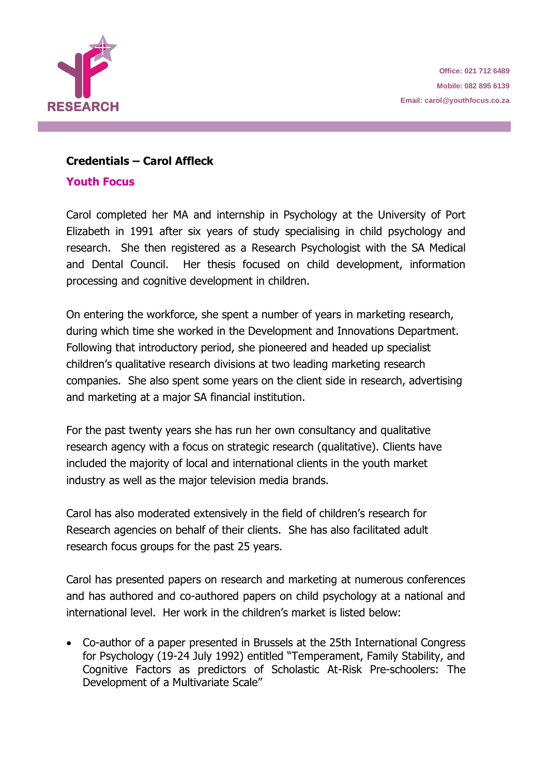

## **Credentials – Carol Affleck**

## **Youth Focus**

Carol completed her MA and internship in Psychology at the University of Port Elizabeth in 1991 after six years of study specialising in child psychology and research. She then registered as a Research Psychologist with the SA Medical and Dental Council. Her thesis focused on child development, information processing and cognitive development in children. **P O Box 31533** 

On entering the workforce, she spent a number of years in marketing research, during which time she worked in the Development and Innovations Department. Following that introductory period, she pioneered and headed up specialist children's qualitative research divisions at two leading marketing research companies. She also spent some years on the client side in research, advertising and marketing at a major SA financial institution. **Web: www.youthfocus.co.za P O Box 31533, Tokai, Cape Town, 7966**

For the past twenty years she has run her own consultancy and qualitative research agency with a focus on strategic research (qualitative). Clients have included the majority of local and international clients in the youth market industry as well as the major television media brands.

Carol has also moderated extensively in the field of children's research for Research agencies on behalf of their clients. She has also facilitated adult research focus groups for the past 25 years.

Carol has presented papers on research and marketing at numerous conferences and has authored and co-authored papers on child psychology at a national and international level. Her work in the children's market is listed below: **Office: 011 462 9739 Mobile: 082 895 6139**

• Co-author of a paper presented in Brussels at the 25th International Congress for Psychology (19-24 July 1992) entitled "Temperament, Family Stability, and Cognitive Factors as predictors of Scholastic At-Risk Pre-schoolers: The Development of a Multivariate Scale"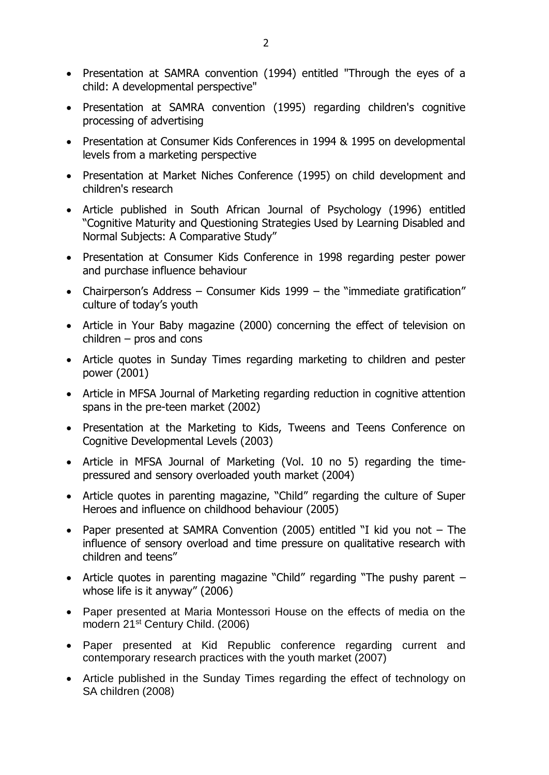- Presentation at SAMRA convention (1994) entitled "Through the eyes of a child: A developmental perspective"
- Presentation at SAMRA convention (1995) regarding children's cognitive processing of advertising
- Presentation at Consumer Kids Conferences in 1994 & 1995 on developmental levels from a marketing perspective
- Presentation at Market Niches Conference (1995) on child development and children's research
- Article published in South African Journal of Psychology (1996) entitled "Cognitive Maturity and Questioning Strategies Used by Learning Disabled and Normal Subjects: A Comparative Study"
- Presentation at Consumer Kids Conference in 1998 regarding pester power and purchase influence behaviour
- Chairperson's Address Consumer Kids 1999 the "immediate gratification" culture of today's youth
- Article in Your Baby magazine (2000) concerning the effect of television on children – pros and cons
- Article quotes in Sunday Times regarding marketing to children and pester power (2001)
- Article in MFSA Journal of Marketing regarding reduction in cognitive attention spans in the pre-teen market (2002)
- Presentation at the Marketing to Kids, Tweens and Teens Conference on Cognitive Developmental Levels (2003)
- Article in MFSA Journal of Marketing (Vol. 10 no 5) regarding the timepressured and sensory overloaded youth market (2004)
- Article quotes in parenting magazine, "Child" regarding the culture of Super Heroes and influence on childhood behaviour (2005)
- Paper presented at SAMRA Convention (2005) entitled "I kid you not The influence of sensory overload and time pressure on qualitative research with children and teens"
- Article quotes in parenting magazine "Child" regarding "The pushy parent whose life is it anyway" (2006)
- Paper presented at Maria Montessori House on the effects of media on the modern 21st Century Child. (2006)
- Paper presented at Kid Republic conference regarding current and contemporary research practices with the youth market (2007)
- Article published in the Sunday Times regarding the effect of technology on SA children (2008)